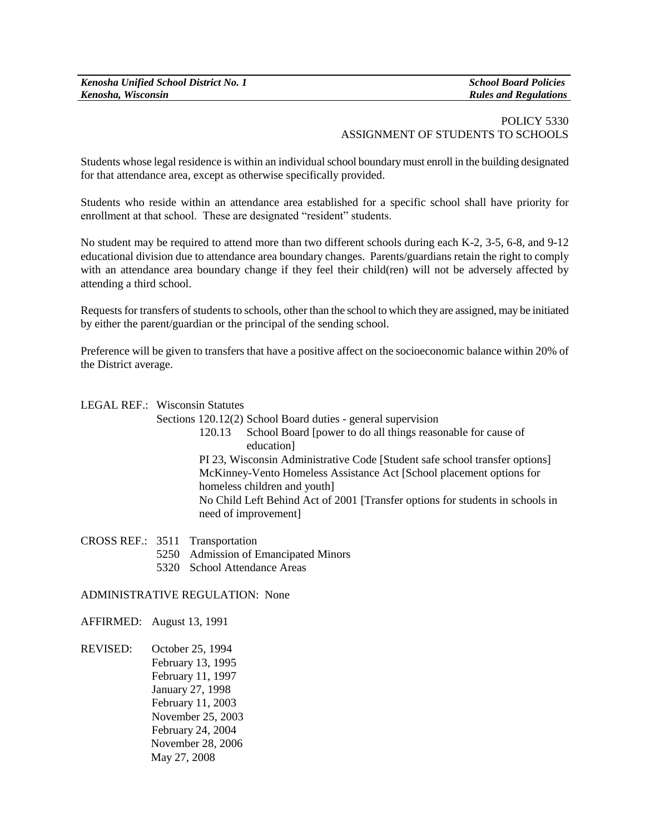# POLICY 5330 ASSIGNMENT OF STUDENTS TO SCHOOLS

Students whose legal residence is within an individual school boundary must enroll in the building designated for that attendance area, except as otherwise specifically provided.

Students who reside within an attendance area established for a specific school shall have priority for enrollment at that school. These are designated "resident" students.

No student may be required to attend more than two different schools during each K-2, 3-5, 6-8, and 9-12 educational division due to attendance area boundary changes. Parents/guardians retain the right to comply with an attendance area boundary change if they feel their child(ren) will not be adversely affected by attending a third school.

Requests for transfers of students to schools, other than the school to which they are assigned, may be initiated by either the parent/guardian or the principal of the sending school.

Preference will be given to transfers that have a positive affect on the socioeconomic balance within 20% of the District average.

#### LEGAL REF.: Wisconsin Statutes

Sections 120.12(2) School Board duties - general supervision

120.13 School Board [power to do all things reasonable for cause of education] PI 23, Wisconsin Administrative Code [Student safe school transfer options]

McKinney-Vento Homeless Assistance Act [School placement options for homeless children and youth]

No Child Left Behind Act of 2001 [Transfer options for students in schools in need of improvement]

CROSS REF.: 3511 Transportation

- 5250 Admission of Emancipated Minors
- 5320 School Attendance Areas

### ADMINISTRATIVE REGULATION: None

AFFIRMED: August 13, 1991

REVISED: October 25, 1994 February 13, 1995 February 11, 1997 January 27, 1998 February 11, 2003 November 25, 2003 February 24, 2004 November 28, 2006 May 27, 2008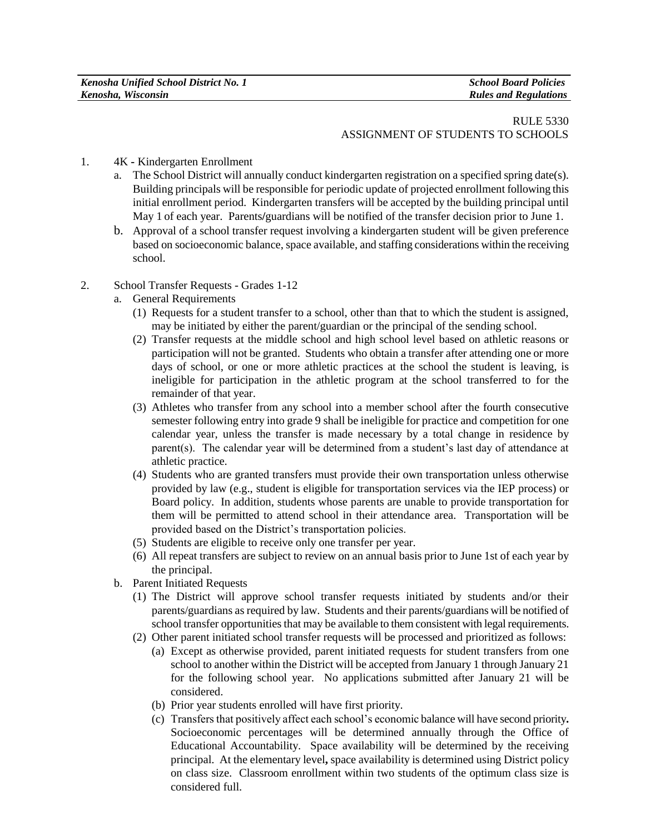| Kenosha Unified School District No. 1 | <b>School Board Policies</b> |
|---------------------------------------|------------------------------|
| Kenosha, Wisconsin                    | <b>Rules and Regulations</b> |

### RULE 5330 ASSIGNMENT OF STUDENTS TO SCHOOLS

#### 1. 4K **-** Kindergarten Enrollment

- a. The School District will annually conduct kindergarten registration on a specified spring date(s). Building principals will be responsible for periodic update of projected enrollment following this initial enrollment period. Kindergarten transfers will be accepted by the building principal until May 1 of each year. Parents**/**guardians will be notified of the transfer decision prior to June 1.
- b. Approval of a school transfer request involving a kindergarten student will be given preference based on socioeconomic balance, space available, and staffing considerations within the receiving school.
- 2. School Transfer Requests Grades 1-12
	- a. General Requirements
		- (1) Requests for a student transfer to a school, other than that to which the student is assigned, may be initiated by either the parent/guardian or the principal of the sending school.
		- (2) Transfer requests at the middle school and high school level based on athletic reasons or participation will not be granted. Students who obtain a transfer after attending one or more days of school, or one or more athletic practices at the school the student is leaving, is ineligible for participation in the athletic program at the school transferred to for the remainder of that year.
		- (3) Athletes who transfer from any school into a member school after the fourth consecutive semester following entry into grade 9 shall be ineligible for practice and competition for one calendar year, unless the transfer is made necessary by a total change in residence by parent(s). The calendar year will be determined from a student's last day of attendance at athletic practice.
		- (4) Students who are granted transfers must provide their own transportation unless otherwise provided by law (e.g., student is eligible for transportation services via the IEP process) or Board policy. In addition, students whose parents are unable to provide transportation for them will be permitted to attend school in their attendance area. Transportation will be provided based on the District's transportation policies.
		- (5) Students are eligible to receive only one transfer per year.
		- (6) All repeat transfers are subject to review on an annual basis prior to June 1st of each year by the principal.
	- b. Parent Initiated Requests
		- (1) The District will approve school transfer requests initiated by students and/or their parents/guardians as required by law. Students and their parents/guardians will be notified of school transfer opportunities that may be available to them consistent with legal requirements.
		- (2) Other parent initiated school transfer requests will be processed and prioritized as follows: (a) Except as otherwise provided, parent initiated requests for student transfers from one school to another within the District will be accepted from January 1 through January 21 for the following school year. No applications submitted after January 21 will be considered.
			- (b) Prior year students enrolled will have first priority.
			- (c) Transfers that positively affect each school's economic balance will have second priority**.**  Socioeconomic percentages will be determined annually through the Office of Educational Accountability. Space availability will be determined by the receiving principal. At the elementary level**,** space availability is determined using District policy on class size. Classroom enrollment within two students of the optimum class size is considered full.